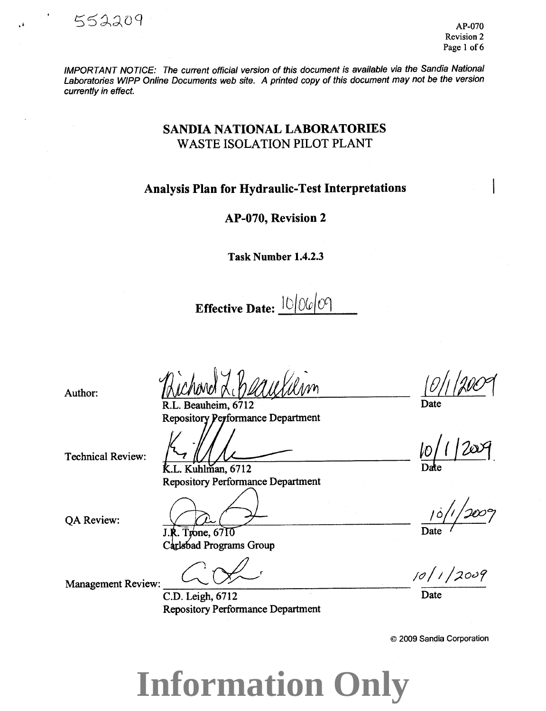IMPORTANT NOTICE: The current official version of this document is available via the Sandia National Laboratories WIPP Online Documents web site. A printed copy of this document may not be the version currently in effect.

# **SANDIA NATIONAL LABORATORIES WASTE ISOLATION PILOT PLANT**

## **Analysis Plan for Hydraulic-Test Interpretations**

## AP-070, Revision 2

**Task Number 1.4.2.3** 

**Effective Date:**  $10|00|00|$ 

Beauheim. 6712 **Repository Performance Department** 

**Technical Review:** 

Author:

552209

K.L. Kuhlman, 6712

**Repository Performance Department** 

QA Review:

J.R. Trone, 6710

Carlsbad Programs Group

**Management Review:** 

C.D. Leigh, 6712 **Repository Performance Department** 

Date

 $10/1/2009$ 

Date

© 2009 Sandia Corporation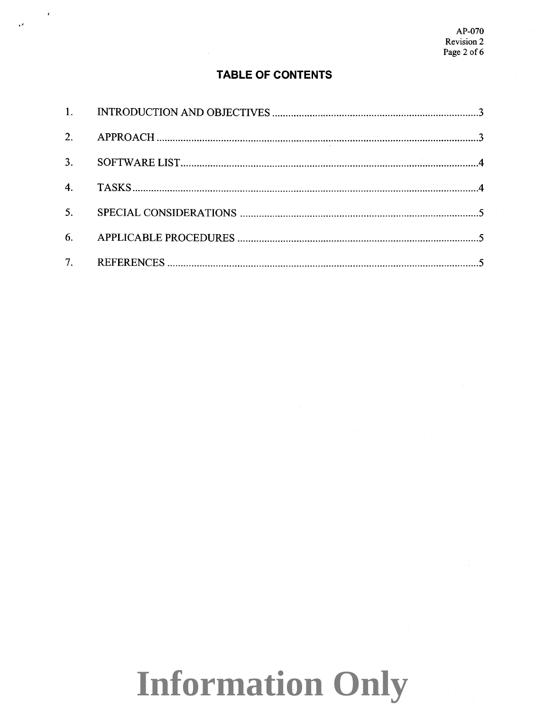## **TABLE OF CONTENTS**

 $\mathbf{A}$ 

| 2.               |  |
|------------------|--|
| 3.               |  |
| $\overline{4}$ . |  |
| 5 <sub>1</sub>   |  |
| 6.               |  |
| 7 <sub>1</sub>   |  |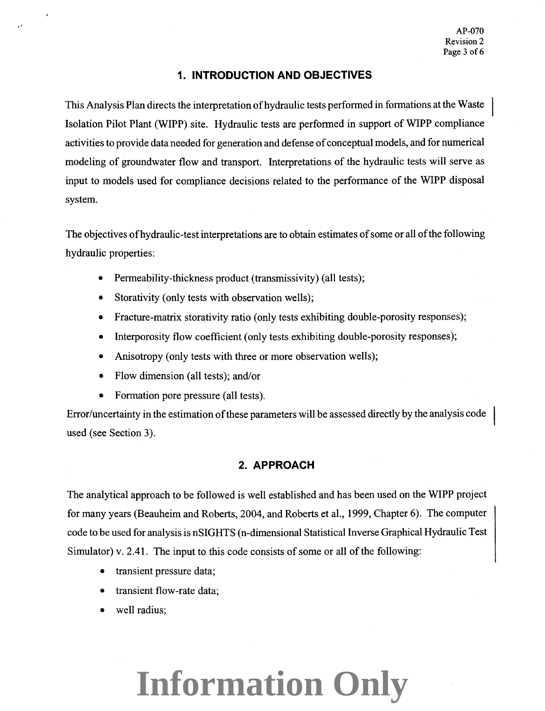#### **1. INTRODUCTION AND OBJECTIVES**

This Analysis Plan directs the interpretation of hydraulic tests performed in formations at the Waste Isolation Pilot Plant (WIPP) site. Hydraulic tests are performed in support of WIPP compliance activities to provide data needed for generation and defense of conceptual models, and for numerical modeling of groundwater flow and transport. Interpretations of the hydraulic tests will serve as input to models used for compliance decisions related to the performance of the WIPP disposal system.

The objectives ofhydraulic-test interpretations are to obtain estimates of some or all of the following hydraulic properties:

- Permeability-thickness product (transmissivity) (all tests);
- Storativity (only tests with observation wells);
- Fracture-matrix storativity ratio (only tests exhibiting double-porosity responses);
- Interporosity flow coefficient (only tests exhibiting double-porosity responses);
- Anisotropy (only tests with three or more observation wells);
- Flow dimension (all tests); and/or
- Formation pore pressure (all tests).

Error/uncertainty in the estimation of these parameters will be assessed directly by the analysis code used (see Section 3).

## **2. APPROACH**

The analytical approach to be followed is well established and has been used on the WIPP project for many years (Beauheim and Roberts, 2004, and Roberts et al., 1999, Chapter 6). The computer code to be used for analysis is nSIGHTS (n-dimensional Statistical Inverse Graphical Hydraulic Test Simulator) v. 2.41. The input to this code consists of some or all of the following:

- transient pressure data;
- transient flow-rate data;
- well radius;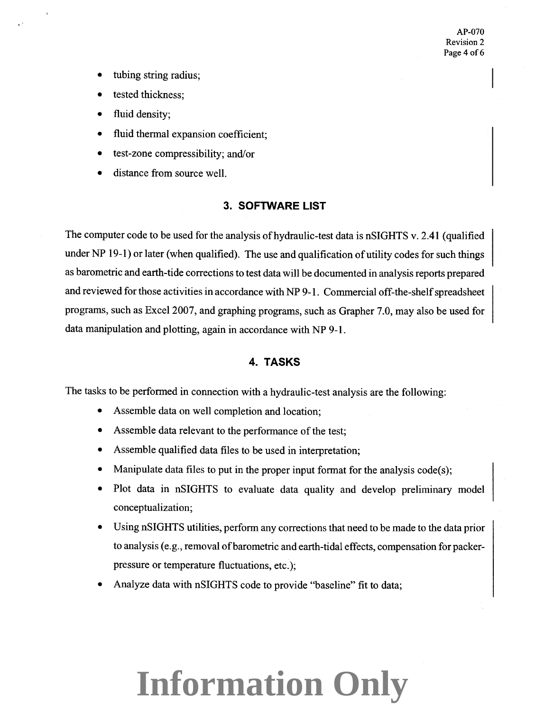- tubing string radius;
- tested thickness:
- fluid density;
- fluid thermal expansion coefficient;
- test-zone compressibility; and/or
- distance from source well.

#### **3. SOFTWARE LIST**

The computer code to be used for the analysis of hydraulic-test data is nSIGHTS v. 2.41 (qualified under NP 19-1) or later (when qualified). The use and qualification of utility codes for such things as barometric and earth-tide corrections to test data will be documented in analysis reports prepared and reviewed for those activities in accordance with NP 9-1. Commercial off-the-shelf spreadsheet programs, such as Excel2007, and graphing programs, such as Grapher 7.0, may also be used for data manipulation and plotting, again in accordance with NP 9-1.

#### **4. TASKS**

The tasks to be performed in connection with a hydraulic-test analysis are the following:

- Assemble data on well completion and location;
- Assemble data relevant to the performance of the test;
- Assemble qualified data files to be used in interpretation;
- Manipulate data files to put in the proper input format for the analysis  $code(s)$ ;
- Plot data in nSIGHTS to evaluate data quality and develop preliminary model conceptualization;
- Using nSIGHTS utilities, perform any corrections that need to be made to the data prior to analysis (e.g., removal of barometric and earth-tidal effects, compensation for packerpressure or temperature fluctuations, etc.);
- Analyze data with nSIGHTS code to provide "baseline" fit to data;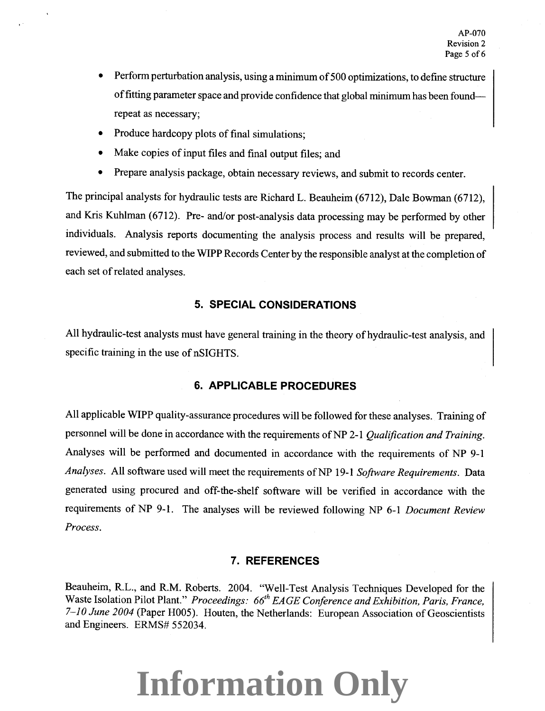- Perform perturbation analysis, using a minimum of 500 optimizations, to defme structure of fitting parameter space and provide confidence that global minimum has been foundrepeat as necessary;
- Produce hardcopy plots of final simulations;
- Make copies of input files and final output files; and
- Prepare analysis package, obtain necessary reviews, and submit to records center.

The principal analysts for hydraulic tests are Richard L. Beauheim (6712), Dale Bowman (6712), and Kris Kuhlman (6712). Pre- and/or post-analysis data processing may be performed by other individuals. Analysis reports documenting the analysis process and results will be prepared, reviewed, and submitted to the WIPP Records Center by the responsible analyst at the completion of each set of related analyses.

## **5. SPECIAL CONSIDERATIONS**

All hydraulic-test analysts must have general training in the theory of hydraulic-test analysis, and specific training in the use of nSIGHTS.

## **6. APPLICABLE PROCEDURES**

All applicable WIPP quality-assurance procedures will be followed for these analyses. Training of personnel will be done in accordance with the requirements ofNP 2-1 *Qualification and Training.*  Analyses will be performed and documented in accordance with the requirements of NP 9-1 *Analyses.* All software used will meet the requirements ofNP 19-1 *Software Requirements.* Data generated using procured and off-the-shelf software will be verified in accordance with the requirements of NP 9-1. The analyses will be reviewed following NP 6-1 *Document Review Process.* 

#### **7. REFERENCES**

Beauheim, R.L., and R.M. Roberts. 2004. "Well-Test Analysis Techniques Developed for the Waste Isolation Pilot Plant." *Proceedings: 66<sup>th</sup> EAGE Conference and Exhibition, Paris, France, 7-10 June 2004* (Paper H005). Houten, the Netherlands: European Association of Geoscientists and Engineers. ERMS# 552034.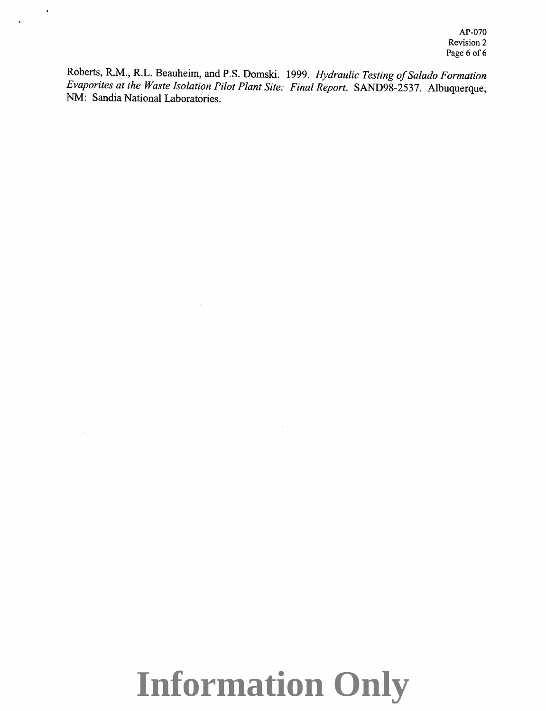AP-070 Revision 2 Page 6 of 6

Roberts, R.M., R.L. Beauheim, and P.S. Domski. 1999. *Hydraulic Testing of Salado Formation Evaporites at the Waste Isolation Pilot Plant Site: Final Report.* SAND98-2537. Albuquerque, NM: Sandia National Laboratories.